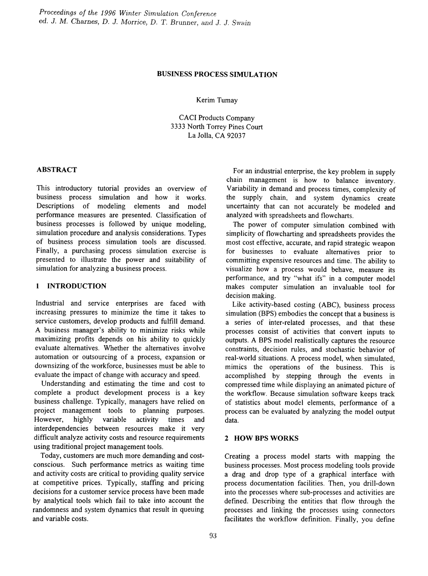# BUSINESS PROCESS SIMULATION

Kerim Tumay

CACI Products Company 3333 North Torrey Pines Court La Jolla, CA 92037

## ABSTRACT

This introductory tutorial provides an overview of business process simulation and how it works. Descriptions of modeling elements and model performance measures are presented. Classification of business processes is followed by unique modeling, simulation procedure and analysis considerations. Types of business process simulation tools are discussed. Finally, a purchasing process simulation exercise is presented to illustrate the power and suitability of simulation for analyzing a business process.

## 1 INTRODUCTION

Industrial and service enterprises are faced with increasing pressures to minimize the time it takes to service customers, develop products and fulfill demand. A business manager's ability to minimize risks while maximizing profits depends on his ability to quickly evaluate alternatives. Whether the alternatives involve automation or outsourcing of a process, expansion or downsizing of the workforce, businesses must be able to evaluate the impact of change with accuracy and speed.

Understanding and estimating the time and cost to complete a product development process is a key business challenge. Typically, managers have relied on project management tools to planning purposes. However, highly variable activity times and interdependencies between resources make it very difficult analyze activity costs and resource requirements using traditional project management tools.

Today, customers are much more demanding and costconscious. Such performance metrics as waiting time and activity costs are critical to providing quality service at competitive prices. Typically, staffmg and pricing decisions for a customer service process have been made by analytical tools which fail to take into account the randomness and system dynamics that result in queuing and variable costs.

For an industrial enterprise, the key problem in supply chain management is how to balance inventory. Variability in demand and process times, complexity of the supply chain, and system dynamics create uncertainty that can not accurately be modeled and analyzed with spreadsheets and flowcharts.

The power of computer simulation combined with simplicity of flowcharting and spreadsheets provides the most cost effective, accurate, and rapid strategic weapon for businesses to evaluate alternatives prior to committing expensive resources and time. The ability to visualize how a process would behave, measure its perfonnance, and try "what ifs" in a computer model makes computer simulation an invaluable tool for decision making.

Like activity-based costing (ABC), business process simulation (BPS) embodies the concept that a business is a series of inter-related processes, and that these processes consist of activities that convert inputs to outputs. A BPS model realistically captures the resource constraints, decision rules, and stochastic behavior of real-world situations. A process model, when simulated, mimics the operations of the business. This is accomplished by stepping through the events in compressed time while displaying an animated picture of the workflow. Because simulation software keeps track of statistics about model elements, performance of a process can be evaluated by analyzing the model output data.

### 2 HOW BPS WORKS

Creating a process model starts with mapping the business processes. Most process modeling tools provide a drag and drop type of a graphical interface with process documentation facilities. Then, you drill-down into the processes where sub-processes and activities are defined. Describing the entities that flow through the processes and linking the processes using connectors facilitates the workflow definition. Finally, you define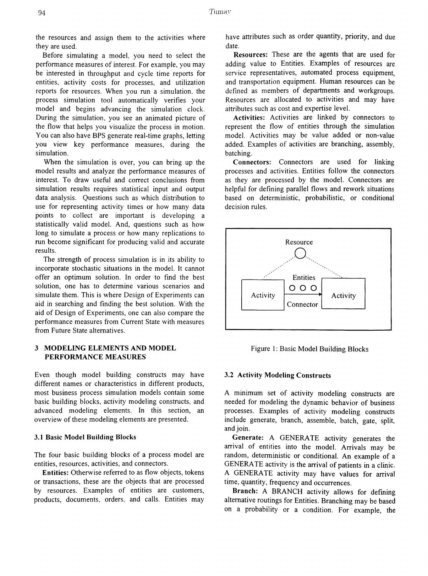the resources and assign them to the activities where they are used.

Before simulating a model, you need to select the performance measures of interest. For example, you may be interested in throughput and cycle time reports for entities, activity costs for processes, and utilization reports for resources. When you run a simulation, the process simulation tool automatically verifies your model and begins advancing the simulation clock. During the simulation, you see an animated picture of the flow that helps you visualize the process in motion. You can also have BPS generate real-time graphs, letting you view key performance measures, during the simulation.

When the simulation is over, you can bring up the model results and analyze the performance measures of interest. To draw useful and correct conclusions from simulation results requires statistical input and output data analysis. Questions such as which distribution to use for representing activity times or how many data points to collect are important is developing a statistically valid model. And, questions such as how long to simulate a process or how many replications to run become significant for producing valid and accurate results.

The strength of process simulation is in its ability to incorporate stochastic situations in the model. It cannot offer an optimum solution. In order to fmd the best solution, one has to determine various scenarios and simulate them. This is where Design of Experiments can aid in searching and finding the best solution. With the aid of Design of Experiments, one can also compare the perfonnance measures from Current State with measures from Future State alternatives.

## 3 MODELING ELEMENTS AND MODEL PERFORMANCE MEASURES

Even though model building constructs may have different names or characteristics in different products, most business process simulation models contain some basic building blocks, activity modeling constructs, and advanced modeling elements. In this section, an overview of these modeling elements are presented.

## 3.1 Basic Model Building Blocks

The four basic building blocks of a process model are entities, resources, activities, and connectors.

Entities: Otherwise referred to as flow objects, tokens or transactions, these are the objects that are processed by resources. Examples of entities are customers, products, documents, orders, and calls. Entities may

have attributes such as order quantity, priority, and due date.

Resources: These are the agents that are used for adding value to Entities. Examples of resources are service representatives, automated process equipment, and transportation equipment. Human resources can be defmed as members of departments and workgroups. Resources are allocated to activities and may have attributes such as cost and expertise level.

Activities: Activities are linked by connectors to represent the flow of entities through the simulation model. Activities may be value added or non-value added. Examples of activities are branching, assembly, batching.

Connectors: Connectors are used for linking processes and activities. Entities follow the connectors as they are processed by the model. Connectors are helpful for defining parallel flows and rework situations based on deterministic, probabilistic, or conditional decision rules.



Figure 1: Basic Model Building Blocks

# 3.2 Activity Modeling Constructs

A minimum set of activity modeling constructs are needed for modeling the dynamic behavior of business processes. Examples of activity modeling constructs include generate, branch, assemble, batch, gate, split, and join.

Generate: A GENERATE activity generates the arrival of entities into the model. Arrivals may be random, deterministic or conditional. An example of a GENERATE activity is the arrival of patients in a clinic. A GENERATE activity may have values for arrival time, quantity, frequency and occurrences.

Branch: A BRANCH activity allows for defining alternative routings for Entities. Branching may be based on a probability or a condition. For example, the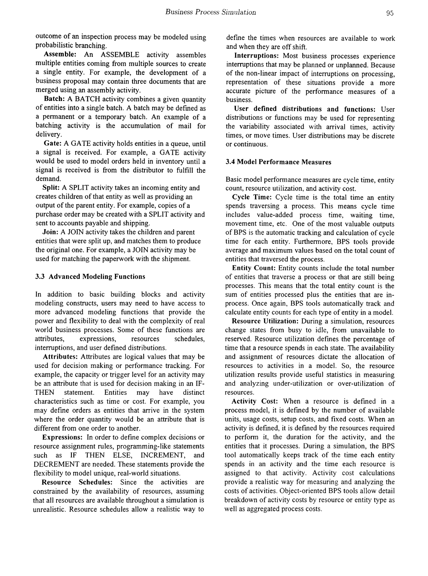outcome of an inspection process may be modeled using probabilistic branching.

Assemble: An ASSEMBLE activity assembles multiple entities coming from multiple sources to create a single entity. For example, the development of a business proposal may contain three documents that are merged using an assembly activity.

Batch: A BATCH activity combines a given quantity of entities into a single batch. A batch may be defmed as a pennanent or a temporary batch. An example of a batching activity is the accumulation of mail for delivery.

Gate: A GATE activity holds entities in a queue, until a signal is received. For example, a GATE activity would be used to model orders held in inventory until a signal is received is from the distributor to fulfill the demand.

Split: A SPLIT activity takes an incoming entity and creates children of that entity as well as providing an output of the parent entity. For example, copies of a purchase order may be created with a SPLIT activity and sent to accounts payable and shipping.

Join: A JOIN activity takes the children and parent entities that were split up, and matches them to produce the original one. For example, a JOIN activity may be used for matching the paperwork with the shipment.

### 3.3 Advanced Modeling Functions

In addition to basic building blocks and activity modeling constructs, users may need to have access to more advanced modeling functions that provide the power and flexibility to deal with the complexity of real world business processes. Some of these functions are attributes, expressions, resources schedules, interruptions, and user defmed distributions.

Attributes: Attributes are logical values that may be used for decision making or performance tracking. For example, the capacity or trigger level for an activity may be an attribute that is used for decision making in an IF-THEN statement. Entities may have distinct characteristics such as time or cost. For example, you may defme orders as entities that arrive in the system where the order quantity would be an attribute that is different from one order to another.

Expressions: In order to define complex decisions or resource assignment rules, programming-like statements such as IF THEN ELSE, INCREMENT, and DECREMENT are needed. These statements provide the flexibility to model unique, real-world situations.

Resource Schedules: Since the activities are constrained by the availability of resources, assuming that all resources are available throughout a simulation is unrealistic. Resource schedules allow a realistic way to

defme the times when resources are available to work and when they are off shift.

Interruptions: Most business processes experience interruptions that may be planned or unplanned. Because of the non-linear impact of interruptions on processing, representation of these situations provide a more accurate picture of the perfonnance measures of a business.

User defined distributions and functions: User distributions or functions may be used for representing the variability associated with arrival times, activity times, or move times. User distributions may be discrete or continuous.

## 3.4 Model Performance Measures

Basic model performance measures are cycle time, entity count, resource utilization, and activity cost.

Cycle Time: Cycle time is the total time an entity spends traversing a process. This means cycle time includes value-added process time, waiting time, movement time, etc. One of the most valuable outputs of BPS is the automatic tracking and calculation of cycle time for each entity. Furthermore, BPS tools provide average and maximum values based on the total count of entities that traversed the process.

Entity Count: Entity counts include the total number of entities that traverse a process or that are still being processes. This means that the total entity count is the sum of entities processed plus the entities that are inprocess. Once again, BPS tools automatically track and calculate entity counts for each type of entity in a model.

Resource Utilization: During a simulation, resources change states from busy to idle, from unavailable to reserved. Resource utilization defmes the percentage of time that a resource spends in each state. The availability and assignment of resources dictate the allocation of resources to activities in a model. So, the resource utilization results provide useful statistics in measuring and analyzing under-utilization or over-utilization of resources.

Activity Cost: When a resource is defmed in a process model, it is defmed by the number of available units, usage costs, setup costs, and fixed costs. When an activity is defmed, it is defmed by the resources required to perfonn it, the duration for the activity, and the entities that it processes. During a simulation, the BPS tool automatically keeps track of the time each entity spends in an activity and the time each resource is assigned to that activity. Activity cost calculations provide a realistic way for measuring and analyzing the costs of activities. Object-oriented BPS tools allow detail breakdown of activity costs by resource or entity type as well as aggregated process costs.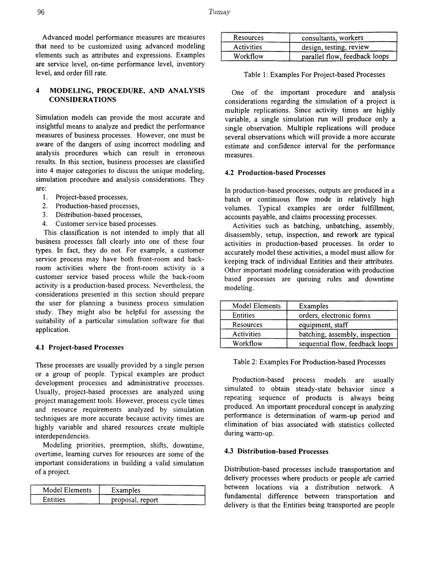Advanced model performance measures are measures that need to be customized using advanced modeling elements such as attributes and expressions. Examples are service level, on-time performance level, inventory level, and order fill rate.

## 4 MODELING, PROCEDURE, AND ANALYSIS CONSIDERATIONS

Simulation models can provide the most accurate and insightful means to analyze and predict the performance measures of business processes. However, one must be aware of the dangers of using incorrect modeling and analysis procedures which can result in erroneous results. In this section, business processes are classified into 4 major categories to discuss the unique modeling, simulation procedure and analysis considerations. They are:

- 1. Project-based processes,
- 2. Production-based processes,
- 3. Distribution-based processes,
- 4. Customer service based processes.

This classification is not intended to imply that all business processes fall clearly into one of these four types. In fact, they do not. For example, a customer service process may have both front-room and backroom activities where the front-room activity is a customer service based process while the back-room activity is a production-based process. Nevertheless, the considerations presented in this section should prepare the user for planning a business process simulation study. They might also be helpful for assessing the suitability of a particular simulation software for that application.

#### 4.1 Project-based Processes

These processes are usually provided by a single person or a group of people. Typical examples are product development processes and administrative processes. Usually, project-based processes are analyzed using project management tools. However, process cycle times and resource requirements analyzed by simulation techniques are more accurate because activity times are highly variable and shared resources create multiple interdependencies.

Modeling priorities, preemption, shifts, downtime, overtime, learning curves for resources are some of the important considerations in building a valid simulation of a project.

| Model Elements | Examples         |
|----------------|------------------|
| Entities       | proposal, report |

| Resources         | consultants, workers          |
|-------------------|-------------------------------|
| <b>Activities</b> | design, testing, review       |
| Workflow          | parallel flow, feedback loops |

|  | Table 1: Examples For Project-based Processes |  |  |  |
|--|-----------------------------------------------|--|--|--|
|--|-----------------------------------------------|--|--|--|

One of the important procedure and analysis considerations regarding the simulation of a project is multiple replications. Since activity times are highly variable, a single simulation run will produce only a single observation. Multiple replications will produce several observations which will provide a more accurate estimate and confidence interval for the performance measures.

## 4.2 Production-based Processes

In production-based processes, outputs are produced in a batch or continuous flow mode in relatively high volumes. Typical examples are order fulfillment, accounts payable, and claims processing processes.

Activities such as batching, unbatching, assembly, disassembly, setup, inspection, and rework are typical activities in production-based processes. In order to accurately model these activities, a model must allow for keeping track of individual Entities and their attributes. Other important modeling consideration with production based processes are queuing rules and downtime modeling.

| Model Elements    | Examples                        |
|-------------------|---------------------------------|
| Entities          | orders, electronic forms        |
| Resources         | equipment, staff                |
| <b>Activities</b> | batching, assembly, inspection  |
| Workflow          | sequential flow, feedback loops |

Table 2: Examples For Production-based Processes

Production-based process models are usually simulated to obtain steady-state behavior since a repeating sequence of products is always being produced. An important procedural concept in analyzing performance is determination of warm-up period and elimination of bias associated with statistics collected during warm-up.

### 4.3 Distribution-based Processes

Distribution-based processes include transportation and delivery processes where products or people are carried between locations via a distribution network. A fundamental difference between transportation and delivery is that the Entities being transported are people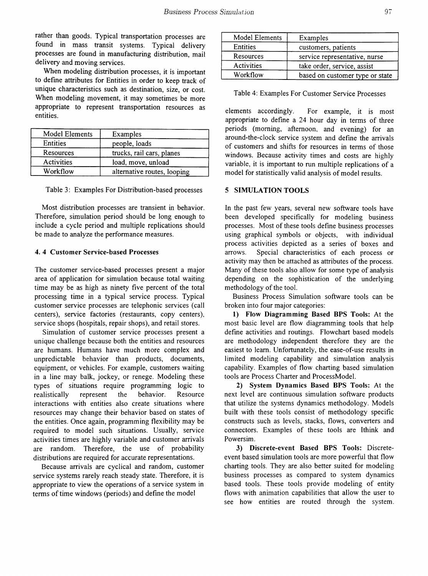rather than goods. Typical transportation processes are found in mass transit systems. Typical delivery processes are found in manufacturing distribution, mail delivery and moving services.

When modeling distribution processes, it is important to defme attributes for Entities in order to keep track of unique characteristics such as destination, size, or cost. When modeling movement, it may sometimes be more appropriate to represent transportation resources as entities.

| Model Elements | Examples                    |
|----------------|-----------------------------|
| Entities       | people, loads               |
| Resources      | trucks, rail cars, planes   |
| Activities     | load, move, unload          |
| Workflow       | alternative routes, looping |

Table 3: Examples For Distribution-based processes

Most distribution processes are transient in behavior. Therefore, simulation period should be long enough to include a cycle period and multiple replications should be made to analyze the performance measures.

### 4. 4 Customer Service-based Processes

The customer service-based processes present a major area of application for simulation because total waiting time may be as high as ninety five percent of the total processing time in a typical service process. Typical customer service processes are telephonic services (call centers), service factories (restaurants, copy centers), service shops (hospitals, repair shops), and retail stores.

Simulation of customer service processes present a unique challenge because both the entities and resources are humans. Humans have much more complex and unpredictable behavior than products, documents, equipment, or vehicles. For example, customers waiting in a line may balk, jockey, or renege. Modeling these types of situations require programming logic to realistically represent the behavior. Resource interactions with entities also create situations where resources may change their behavior based on states of the entities. Once again, programming flexibility may be required to model such situations. Usually, service activities times are highly variable and customer arrivals are random. Therefore, the use of probability distributions are required for accurate representations.

Because arrivals are cyclical and random, customer service systems rarely reach steady state. Therefore, it is appropriate to view the operations of a service system in terms of time windows (periods) and define the model

| Model Elements | Examples                        |
|----------------|---------------------------------|
| Entities       | customers, patients             |
| Resources      | service representative, nurse   |
| Activities     | take order, service, assist     |
| Workflow       | based on customer type or state |

Table 4: Examples For Customer Service Processes

elements accordingly. For example, it is most appropriate to defme a 24 hour day in terms of three periods (morning, afternoon, and evening) for an around-the-clock service system and defme the arrivals of customers and shifts for resources in terms of those windows. Because activity times and costs are highly variable, it is important to run multiple replications of a model for statistically valid analysis of model results.

### 5 SIMULATION TOOLS

In the past few years, several new software tools have been developed specifically for modeling business processes. Most of these tools define business processes using graphical symbols or objects, with individual process activities depicted as a series of boxes and arrows. Special characteristics of each process or activity may then be attached as attributes of the process. Many of these tools also allow for some type of analysis depending on the sophistication of the underlying methodology of the tool.

Business Process Simulation software tools can be broken into four major categories:

1) Flow Diagramming Based BPS Tools: At the most basic level are flow diagramming tools that help defme activities and routings. Flowchart based models are methodology independent therefore they are the easiest to learn. Unfortunately, the ease-of-use results in limited modeling capability and simulation analysis capability. Examples of flow charting based simulation tools are Process Charter and ProcessModel.

2) System Dynamics Based BPS Tools: At the next level are continuous simulation software products that utilize the systems dynamics methodology. Models built with these tools consist of methodology specific constructs such as levels, stacks, flows, converters and connectors. Examples of these tools are Ithink and Powersim.

3) Discrete-event Based BPS Tools: Discreteevent based simulation tools are more powerful that flow charting tools. They are also better suited for modeling business processes as compared to system dynamics based tools. These tools provide modeling of entity flows with animation capabilities that allow the user to see how entities are routed through the system.